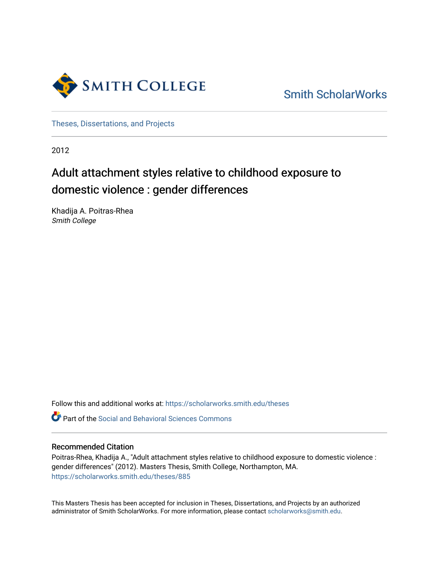

[Smith ScholarWorks](https://scholarworks.smith.edu/) 

[Theses, Dissertations, and Projects](https://scholarworks.smith.edu/theses) 

2012

# Adult attachment styles relative to childhood exposure to domestic violence : gender differences

Khadija A. Poitras-Rhea Smith College

Follow this and additional works at: [https://scholarworks.smith.edu/theses](https://scholarworks.smith.edu/theses?utm_source=scholarworks.smith.edu%2Ftheses%2F885&utm_medium=PDF&utm_campaign=PDFCoverPages) 

Part of the [Social and Behavioral Sciences Commons](http://network.bepress.com/hgg/discipline/316?utm_source=scholarworks.smith.edu%2Ftheses%2F885&utm_medium=PDF&utm_campaign=PDFCoverPages) 

## Recommended Citation

Poitras-Rhea, Khadija A., "Adult attachment styles relative to childhood exposure to domestic violence : gender differences" (2012). Masters Thesis, Smith College, Northampton, MA. [https://scholarworks.smith.edu/theses/885](https://scholarworks.smith.edu/theses/885?utm_source=scholarworks.smith.edu%2Ftheses%2F885&utm_medium=PDF&utm_campaign=PDFCoverPages) 

This Masters Thesis has been accepted for inclusion in Theses, Dissertations, and Projects by an authorized administrator of Smith ScholarWorks. For more information, please contact [scholarworks@smith.edu](mailto:scholarworks@smith.edu).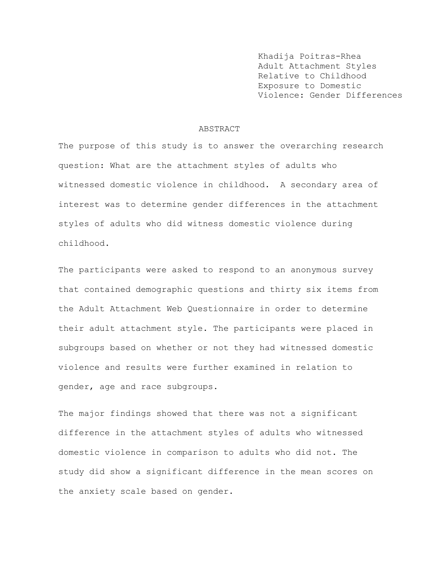Khadija Poitras-Rhea Adult Attachment Styles Relative to Childhood Exposure to Domestic Violence: Gender Differences

#### ABSTRACT

The purpose of this study is to answer the overarching research question: What are the attachment styles of adults who witnessed domestic violence in childhood. A secondary area of interest was to determine gender differences in the attachment styles of adults who did witness domestic violence during childhood.

The participants were asked to respond to an anonymous survey that contained demographic questions and thirty six items from the Adult Attachment Web Questionnaire in order to determine their adult attachment style. The participants were placed in subgroups based on whether or not they had witnessed domestic violence and results were further examined in relation to gender, age and race subgroups.

The major findings showed that there was not a significant difference in the attachment styles of adults who witnessed domestic violence in comparison to adults who did not. The study did show a significant difference in the mean scores on the anxiety scale based on gender.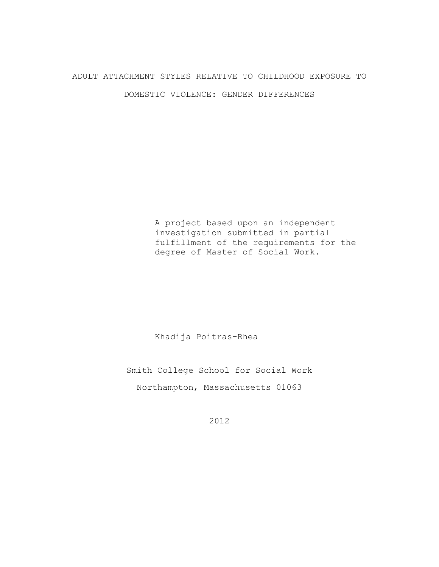## ADULT ATTACHMENT STYLES RELATIVE TO CHILDHOOD EXPOSURE TO

DOMESTIC VIOLENCE: GENDER DIFFERENCES

A project based upon an independent investigation submitted in partial fulfillment of the requirements for the degree of Master of Social Work.

Khadija Poitras-Rhea

Smith College School for Social Work Northampton, Massachusetts 01063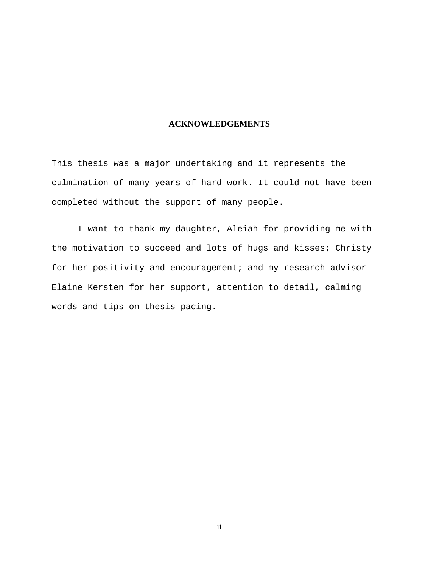## **ACKNOWLEDGEMENTS**

This thesis was a major undertaking and it represents the culmination of many years of hard work. It could not have been completed without the support of many people.

I want to thank my daughter, Aleiah for providing me with the motivation to succeed and lots of hugs and kisses; Christy for her positivity and encouragement; and my research advisor Elaine Kersten for her support, attention to detail, calming words and tips on thesis pacing.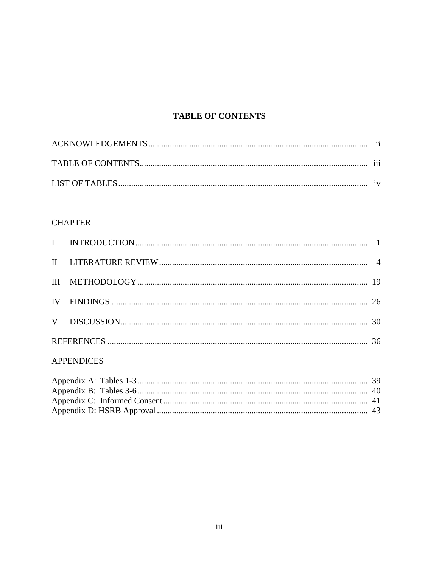## **TABLE OF CONTENTS**

## **CHAPTER**

## **APPENDICES**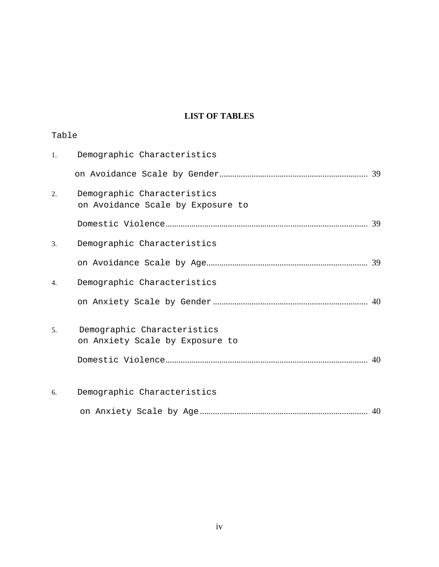## **LIST OF TABLES**

| Table |                                                                  |  |
|-------|------------------------------------------------------------------|--|
| 1.    | Demographic Characteristics                                      |  |
|       |                                                                  |  |
| 2.    | Demographic Characteristics<br>on Avoidance Scale by Exposure to |  |
|       |                                                                  |  |
| 3.    | Demographic Characteristics                                      |  |
|       |                                                                  |  |
| 4.    | Demographic Characteristics                                      |  |
|       |                                                                  |  |
| 5.    | Demographic Characteristics<br>on Anxiety Scale by Exposure to   |  |
|       |                                                                  |  |
| 6.    | Demographic Characteristics                                      |  |
|       |                                                                  |  |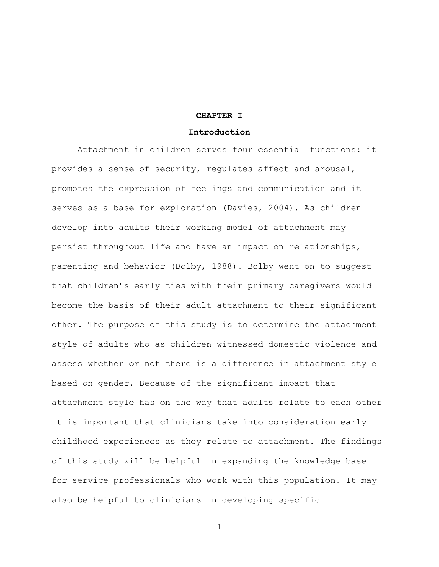#### **CHAPTER I**

#### **Introduction**

Attachment in children serves four essential functions: it provides a sense of security, regulates affect and arousal, promotes the expression of feelings and communication and it serves as a base for exploration (Davies, 2004). As children develop into adults their working model of attachment may persist throughout life and have an impact on relationships, parenting and behavior (Bolby, 1988). Bolby went on to suggest that children's early ties with their primary caregivers would become the basis of their adult attachment to their significant other. The purpose of this study is to determine the attachment style of adults who as children witnessed domestic violence and assess whether or not there is a difference in attachment style based on gender. Because of the significant impact that attachment style has on the way that adults relate to each other it is important that clinicians take into consideration early childhood experiences as they relate to attachment. The findings of this study will be helpful in expanding the knowledge base for service professionals who work with this population. It may also be helpful to clinicians in developing specific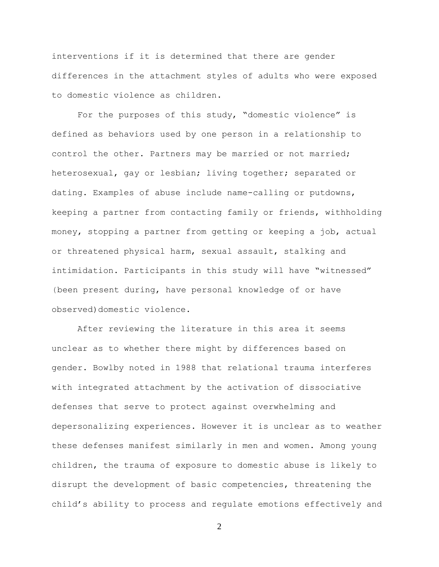interventions if it is determined that there are gender differences in the attachment styles of adults who were exposed to domestic violence as children.

For the purposes of this study, "domestic violence" is defined as behaviors used by one person in a relationship to control the other. Partners may be married or not married; heterosexual, gay or lesbian; living together; separated or dating. Examples of abuse include name-calling or putdowns, keeping a partner from contacting family or friends, withholding money, stopping a partner from getting or keeping a job, actual or threatened physical harm, sexual assault, stalking and intimidation. Participants in this study will have "witnessed" (been present during, have personal knowledge of or have observed) domestic violence.

After reviewing the literature in this area it seems unclear as to whether there might by differences based on gender. Bowlby noted in 1988 that relational trauma interferes with integrated attachment by the activation of dissociative defenses that serve to protect against overwhelming and depersonalizing experiences. However it is unclear as to weather these defenses manifest similarly in men and women. Among young children, the trauma of exposure to domestic abuse is likely to disrupt the development of basic competencies, threatening the child's ability to process and regulate emotions effectively and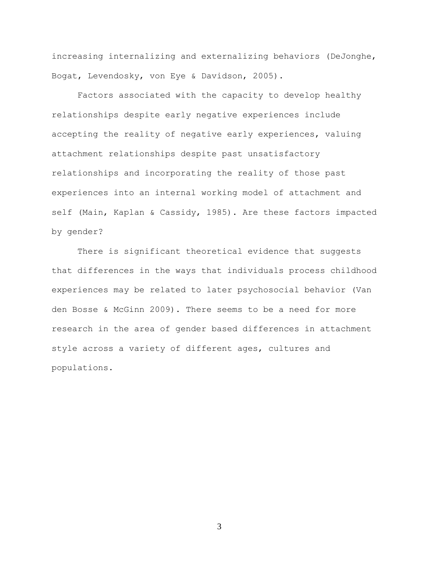increasing internalizing and externalizing behaviors (DeJonghe, Bogat, Levendosky, von Eye & Davidson, 2005).

Factors associated with the capacity to develop healthy relationships despite early negative experiences include accepting the reality of negative early experiences, valuing attachment relationships despite past unsatisfactory relationships and incorporating the reality of those past experiences into an internal working model of attachment and self (Main, Kaplan & Cassidy, 1985). Are these factors impacted by gender?

There is significant theoretical evidence that suggests that differences in the ways that individuals process childhood experiences may be related to later psychosocial behavior (Van den Bosse & McGinn 2009). There seems to be a need for more research in the area of gender based differences in attachment style across a variety of different ages, cultures and populations.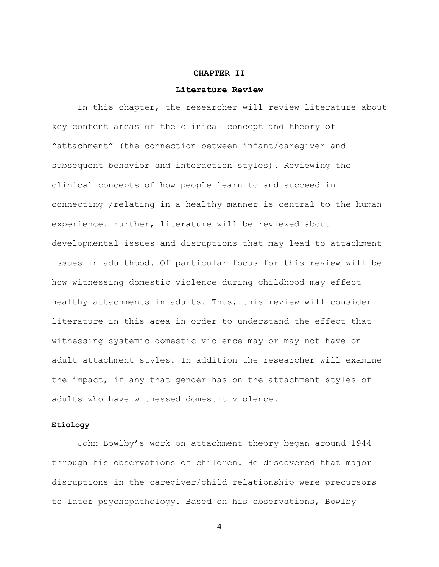#### **CHAPTER II**

#### **Literature Review**

In this chapter, the researcher will review literature about key content areas of the clinical concept and theory of "attachment" (the connection between infant/caregiver and subsequent behavior and interaction styles). Reviewing the clinical concepts of how people learn to and succeed in connecting /relating in a healthy manner is central to the human experience. Further, literature will be reviewed about developmental issues and disruptions that may lead to attachment issues in adulthood. Of particular focus for this review will be how witnessing domestic violence during childhood may effect healthy attachments in adults. Thus, this review will consider literature in this area in order to understand the effect that witnessing systemic domestic violence may or may not have on adult attachment styles. In addition the researcher will examine the impact, if any that gender has on the attachment styles of adults who have witnessed domestic violence.

### **Etiology**

John Bowlby's work on attachment theory began around 1944 through his observations of children. He discovered that major disruptions in the caregiver/child relationship were precursors to later psychopathology. Based on his observations, Bowlby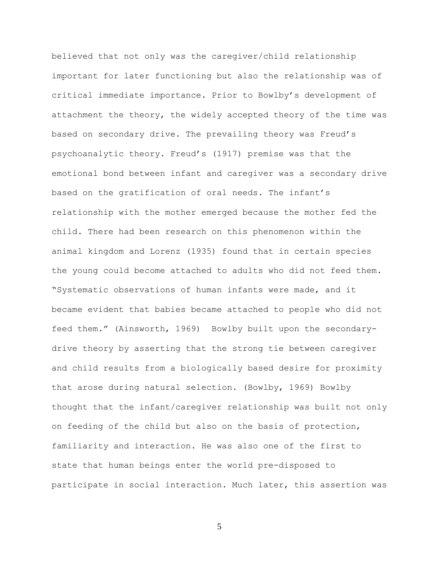believed that not only was the caregiver/child relationship important for later functioning but also the relationship was of critical immediate importance. Prior to Bowlby's development of attachment the theory, the widely accepted theory of the time was based on secondary drive. The prevailing theory was Freud's psychoanalytic theory. Freud's (1917) premise was that the emotional bond between infant and caregiver was a secondary drive based on the gratification of oral needs. The infant's relationship with the mother emerged because the mother fed the child. There had been research on this phenomenon within the animal kingdom and Lorenz (1935) found that in certain species the young could become attached to adults who did not feed them. "Systematic observations of human infants were made, and it became evident that babies became attached to people who did not feed them." (Ainsworth, 1969) Bowlby built upon the secondarydrive theory by asserting that the strong tie between caregiver and child results from a biologically based desire for proximity that arose during natural selection. (Bowlby, 1969) Bowlby thought that the infant/caregiver relationship was built not only on feeding of the child but also on the basis of protection, familiarity and interaction. He was also one of the first to state that human beings enter the world pre-disposed to participate in social interaction. Much later, this assertion was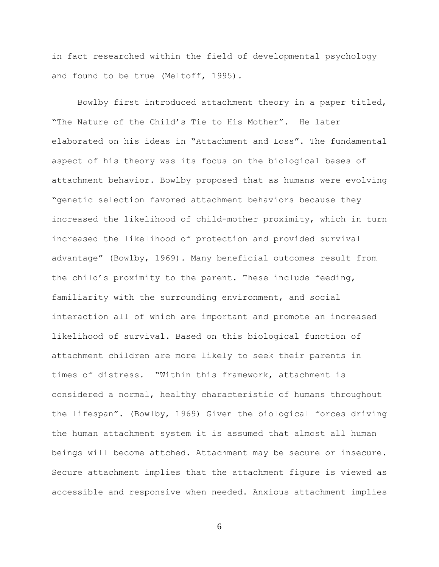in fact researched within the field of developmental psychology and found to be true (Meltoff, 1995).

Bowlby first introduced attachment theory in a paper titled, "The Nature of the Child's Tie to His Mother". He later elaborated on his ideas in "Attachment and Loss". The fundamental aspect of his theory was its focus on the biological bases of attachment behavior. Bowlby proposed that as humans were evolving "genetic selection favored attachment behaviors because they increased the likelihood of child-mother proximity, which in turn increased the likelihood of protection and provided survival advantage" (Bowlby, 1969). Many beneficial outcomes result from the child's proximity to the parent. These include feeding, familiarity with the surrounding environment, and social interaction all of which are important and promote an increased likelihood of survival. Based on this biological function of attachment children are more likely to seek their parents in times of distress. "Within this framework, attachment is considered a normal, healthy characteristic of humans throughout the lifespan". (Bowlby, 1969) Given the biological forces driving the human attachment system it is assumed that almost all human beings will become attched. Attachment may be secure or insecure. Secure attachment implies that the attachment figure is viewed as accessible and responsive when needed. Anxious attachment implies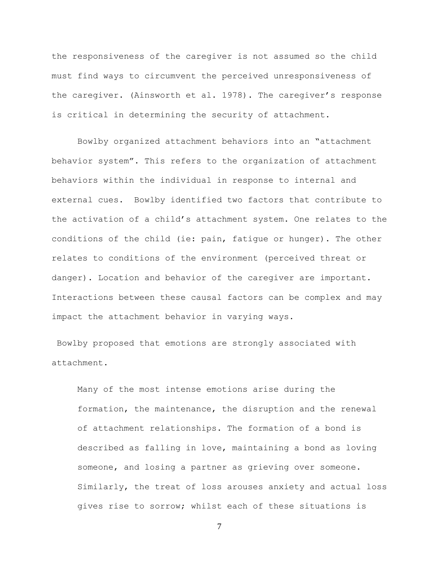the responsiveness of the caregiver is not assumed so the child must find ways to circumvent the perceived unresponsiveness of the caregiver. (Ainsworth et al. 1978). The caregiver's response is critical in determining the security of attachment.

Bowlby organized attachment behaviors into an "attachment behavior system". This refers to the organization of attachment behaviors within the individual in response to internal and external cues. Bowlby identified two factors that contribute to the activation of a child's attachment system. One relates to the conditions of the child (ie: pain, fatigue or hunger). The other relates to conditions of the environment (perceived threat or danger). Location and behavior of the caregiver are important. Interactions between these causal factors can be complex and may impact the attachment behavior in varying ways.

Bowlby proposed that emotions are strongly associated with attachment.

Many of the most intense emotions arise during the formation, the maintenance, the disruption and the renewal of attachment relationships. The formation of a bond is described as falling in love, maintaining a bond as loving someone, and losing a partner as grieving over someone. Similarly, the treat of loss arouses anxiety and actual loss gives rise to sorrow; whilst each of these situations is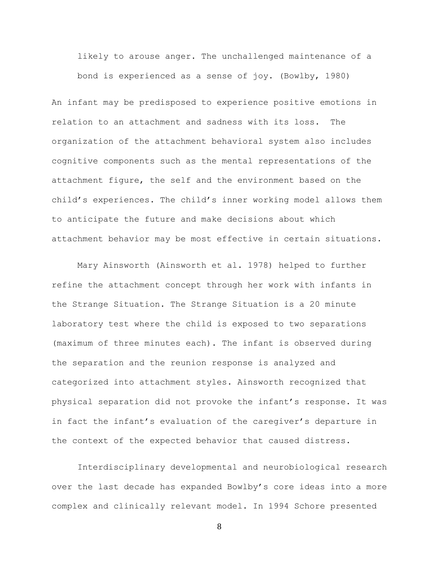likely to arouse anger. The unchallenged maintenance of a bond is experienced as a sense of joy. (Bowlby, 1980)

An infant may be predisposed to experience positive emotions in relation to an attachment and sadness with its loss. The organization of the attachment behavioral system also includes cognitive components such as the mental representations of the attachment figure, the self and the environment based on the child's experiences. The child's inner working model allows them to anticipate the future and make decisions about which attachment behavior may be most effective in certain situations.

Mary Ainsworth (Ainsworth et al. 1978) helped to further refine the attachment concept through her work with infants in the Strange Situation. The Strange Situation is a 20 minute laboratory test where the child is exposed to two separations (maximum of three minutes each). The infant is observed during the separation and the reunion response is analyzed and categorized into attachment styles. Ainsworth recognized that physical separation did not provoke the infant's response. It was in fact the infant's evaluation of the caregiver's departure in the context of the expected behavior that caused distress.

Interdisciplinary developmental and neurobiological research over the last decade has expanded Bowlby's core ideas into a more complex and clinically relevant model. In 1994 Schore presented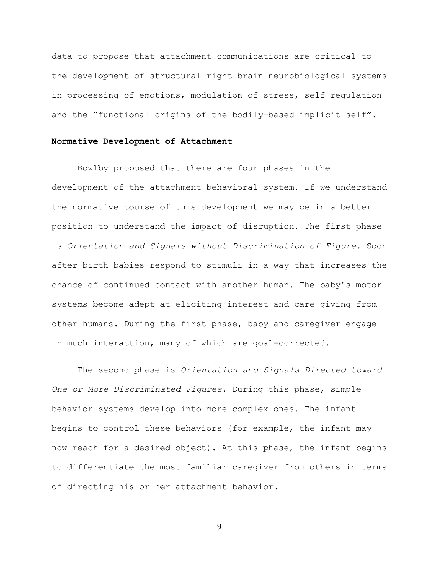data to propose that attachment communications are critical to the development of structural right brain neurobiological systems in processing of emotions, modulation of stress, self regulation and the "functional origins of the bodily-based implicit self".

### **Normative Development of Attachment**

Bowlby proposed that there are four phases in the development of the attachment behavioral system. If we understand the normative course of this development we may be in a better position to understand the impact of disruption. The first phase is *Orientation and Signals without Discrimination of Figure.* Soon after birth babies respond to stimuli in a way that increases the chance of continued contact with another human. The baby's motor systems become adept at eliciting interest and care giving from other humans. During the first phase, baby and caregiver engage in much interaction, many of which are goal-corrected.

The second phase is *Orientation and Signals Directed toward One or More Discriminated Figures.* During this phase, simple behavior systems develop into more complex ones. The infant begins to control these behaviors (for example, the infant may now reach for a desired object). At this phase, the infant begins to differentiate the most familiar caregiver from others in terms of directing his or her attachment behavior.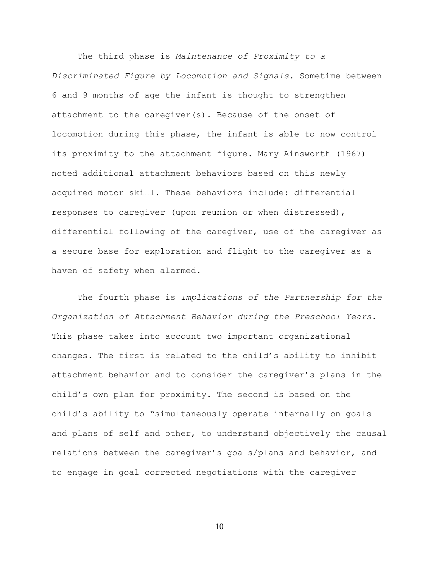The third phase is *Maintenance of Proximity to a Discriminated Figure by Locomotion and Signals.* Sometime between 6 and 9 months of age the infant is thought to strengthen attachment to the caregiver(s). Because of the onset of locomotion during this phase, the infant is able to now control its proximity to the attachment figure. Mary Ainsworth (1967) noted additional attachment behaviors based on this newly acquired motor skill. These behaviors include: differential responses to caregiver (upon reunion or when distressed), differential following of the caregiver, use of the caregiver as a secure base for exploration and flight to the caregiver as a haven of safety when alarmed.

The fourth phase is *Implications of the Partnership for the Organization of Attachment Behavior during the Preschool Years.*  This phase takes into account two important organizational changes. The first is related to the child's ability to inhibit attachment behavior and to consider the caregiver's plans in the child's own plan for proximity. The second is based on the child's ability to "simultaneously operate internally on goals and plans of self and other, to understand objectively the causal relations between the caregiver's goals/plans and behavior, and to engage in goal corrected negotiations with the caregiver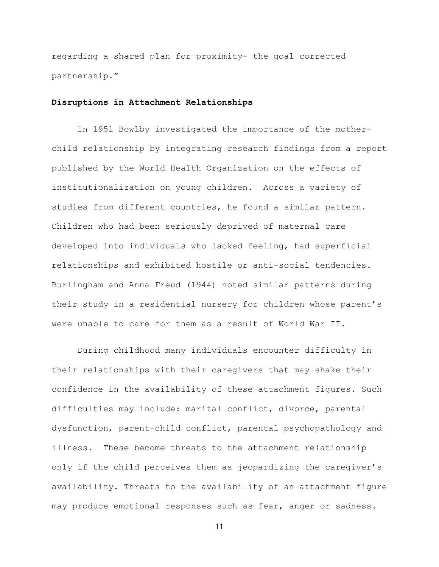regarding a shared plan for proximity- the goal corrected partnership."

## **Disruptions in Attachment Relationships**

In 1951 Bowlby investigated the importance of the motherchild relationship by integrating research findings from a report published by the World Health Organization on the effects of institutionalization on young children. Across a variety of studies from different countries, he found a similar pattern. Children who had been seriously deprived of maternal care developed into individuals who lacked feeling, had superficial relationships and exhibited hostile or anti-social tendencies. Burlingham and Anna Freud (1944) noted similar patterns during their study in a residential nursery for children whose parent's were unable to care for them as a result of World War II.

During childhood many individuals encounter difficulty in their relationships with their caregivers that may shake their confidence in the availability of these attachment figures. Such difficulties may include: marital conflict, divorce, parental dysfunction, parent-child conflict, parental psychopathology and illness. These become threats to the attachment relationship only if the child perceives them as jeopardizing the caregiver's availability. Threats to the availability of an attachment figure may produce emotional responses such as fear, anger or sadness.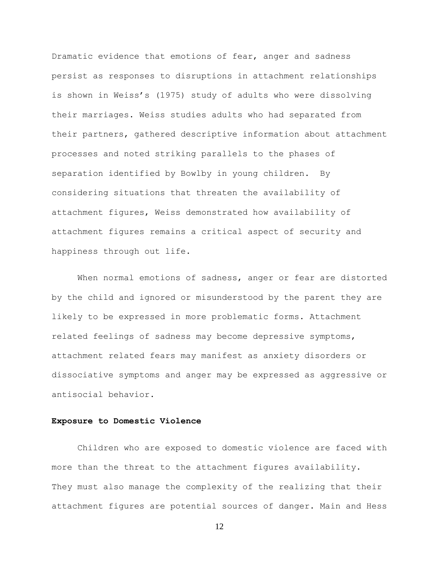Dramatic evidence that emotions of fear, anger and sadness persist as responses to disruptions in attachment relationships is shown in Weiss's (1975) study of adults who were dissolving their marriages. Weiss studies adults who had separated from their partners, gathered descriptive information about attachment processes and noted striking parallels to the phases of separation identified by Bowlby in young children. By considering situations that threaten the availability of attachment figures, Weiss demonstrated how availability of attachment figures remains a critical aspect of security and happiness through out life.

When normal emotions of sadness, anger or fear are distorted by the child and ignored or misunderstood by the parent they are likely to be expressed in more problematic forms. Attachment related feelings of sadness may become depressive symptoms, attachment related fears may manifest as anxiety disorders or dissociative symptoms and anger may be expressed as aggressive or antisocial behavior.

### **Exposure to Domestic Violence**

Children who are exposed to domestic violence are faced with more than the threat to the attachment figures availability. They must also manage the complexity of the realizing that their attachment figures are potential sources of danger. Main and Hess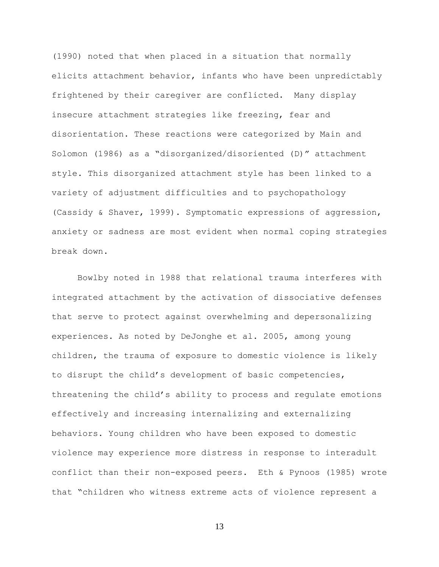(1990) noted that when placed in a situation that normally elicits attachment behavior, infants who have been unpredictably frightened by their caregiver are conflicted. Many display insecure attachment strategies like freezing, fear and disorientation. These reactions were categorized by Main and Solomon (1986) as a "disorganized/disoriented (D)" attachment style. This disorganized attachment style has been linked to a variety of adjustment difficulties and to psychopathology (Cassidy & Shaver, 1999). Symptomatic expressions of aggression, anxiety or sadness are most evident when normal coping strategies break down.

Bowlby noted in 1988 that relational trauma interferes with integrated attachment by the activation of dissociative defenses that serve to protect against overwhelming and depersonalizing experiences. As noted by DeJonghe et al. 2005, among young children, the trauma of exposure to domestic violence is likely to disrupt the child's development of basic competencies, threatening the child's ability to process and regulate emotions effectively and increasing internalizing and externalizing behaviors. Young children who have been exposed to domestic violence may experience more distress in response to interadult conflict than their non-exposed peers. Eth & Pynoos (1985) wrote that "children who witness extreme acts of violence represent a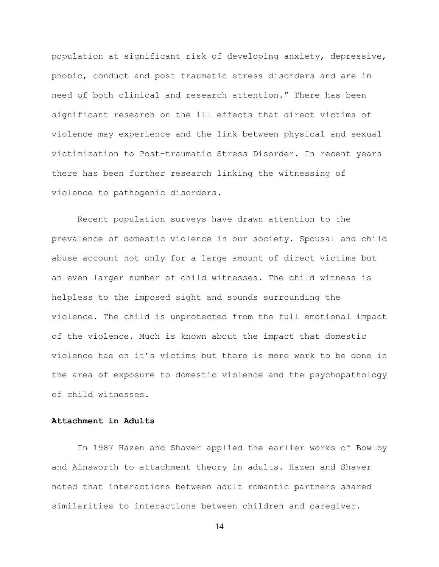population at significant risk of developing anxiety, depressive, phobic, conduct and post traumatic stress disorders and are in need of both clinical and research attention." There has been significant research on the ill effects that direct victims of violence may experience and the link between physical and sexual victimization to Post-traumatic Stress Disorder. In recent years there has been further research linking the witnessing of violence to pathogenic disorders.

Recent population surveys have drawn attention to the prevalence of domestic violence in our society. Spousal and child abuse account not only for a large amount of direct victims but an even larger number of child witnesses. The child witness is helpless to the imposed sight and sounds surrounding the violence. The child is unprotected from the full emotional impact of the violence. Much is known about the impact that domestic violence has on it's victims but there is more work to be done in the area of exposure to domestic violence and the psychopathology of child witnesses.

## **Attachment in Adults**

In 1987 Hazen and Shaver applied the earlier works of Bowlby and Ainsworth to attachment theory in adults. Hazen and Shaver noted that interactions between adult romantic partners shared similarities to interactions between children and caregiver.

```
14
```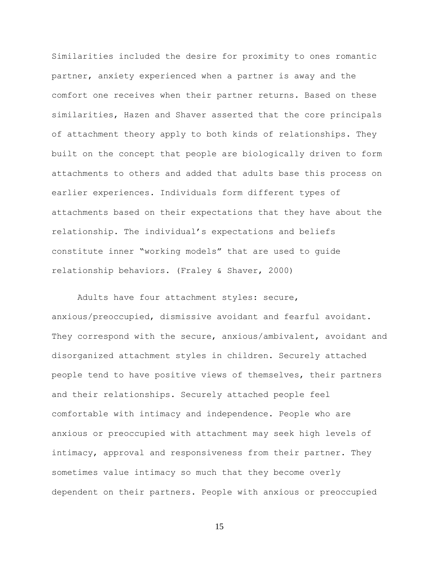Similarities included the desire for proximity to ones romantic partner, anxiety experienced when a partner is away and the comfort one receives when their partner returns. Based on these similarities, Hazen and Shaver asserted that the core principals of attachment theory apply to both kinds of relationships. They built on the concept that people are biologically driven to form attachments to others and added that adults base this process on earlier experiences. Individuals form different types of attachments based on their expectations that they have about the relationship. The individual's expectations and beliefs constitute inner "working models" that are used to guide relationship behaviors. (Fraley & Shaver, 2000)

Adults have four attachment styles: secure, anxious/preoccupied, dismissive avoidant and fearful avoidant. They correspond with the secure, anxious/ambivalent, avoidant and disorganized attachment styles in children. Securely attached people tend to have positive views of themselves, their partners and their relationships. Securely attached people feel comfortable with intimacy and independence. People who are anxious or preoccupied with attachment may seek high levels of intimacy, approval and responsiveness from their partner. They sometimes value intimacy so much that they become overly dependent on their partners. People with anxious or preoccupied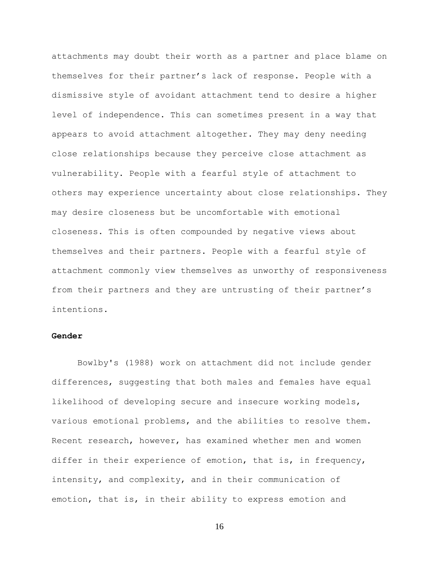attachments may doubt their worth as a partner and place blame on themselves for their partner's lack of response. People with a dismissive style of avoidant attachment tend to desire a higher level of independence. This can sometimes present in a way that appears to avoid attachment altogether. They may deny needing close relationships because they perceive close attachment as vulnerability. People with a fearful style of attachment to others may experience uncertainty about close relationships. They may desire closeness but be uncomfortable with emotional closeness. This is often compounded by negative views about themselves and their partners. People with a fearful style of attachment commonly view themselves as unworthy of responsiveness from their partners and they are untrusting of their partner's intentions.

### **Gender**

Bowlby's (1988) work on attachment did not include gender differences, suggesting that both males and females have equal likelihood of developing secure and insecure working models, various emotional problems, and the abilities to resolve them. Recent research, however, has examined whether men and women differ in their experience of emotion, that is, in frequency, intensity, and complexity, and in their communication of emotion, that is, in their ability to express emotion and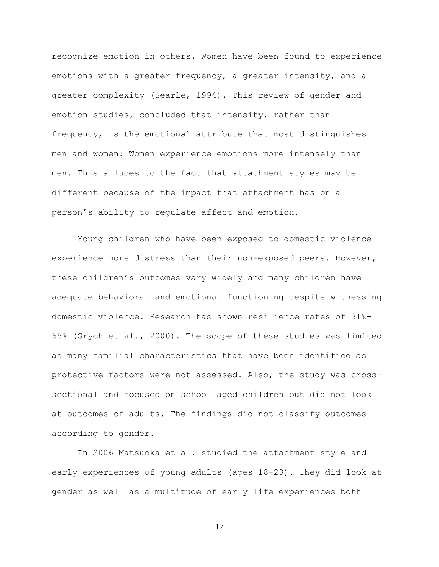recognize emotion in others. Women have been found to experience emotions with a greater frequency, a greater intensity, and a greater complexity [\(Searle, 1994\)](http://web.ebscohost.com.libproxy.smith.edu:2048/ehost/detail?vid=11&hid=110&sid=59c2c891-0415-4b90-b6c8-2bcc1ec6b6b2%40sessionmgr104&bdata=JnNpdGU9ZWhvc3QtbGl2ZQ%3d%3d#c51). This review of gender and emotion studies, concluded that intensity, rather than frequency, is the emotional attribute that most distinguishes men and women: Women experience emotions more intensely than men. This alludes to the fact that attachment styles may be different because of the impact that attachment has on a person's ability to regulate affect and emotion.

Young children who have been exposed to domestic violence experience more distress than their non-exposed peers. However, these children's outcomes vary widely and many children have adequate behavioral and emotional functioning despite witnessing domestic violence. Research has shown resilience rates of 31%- 65% (Grych et al., 2000). The scope of these studies was limited as many familial characteristics that have been identified as protective factors were not assessed. Also, the study was crosssectional and focused on school aged children but did not look at outcomes of adults. The findings did not classify outcomes according to gender.

In 2006 Matsuoka et al. studied the attachment style and early experiences of young adults (ages 18-23). They did look at gender as well as a multitude of early life experiences both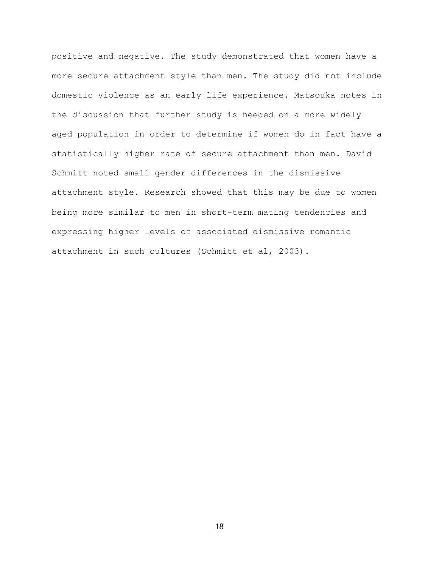positive and negative. The study demonstrated that women have a more secure attachment style than men. The study did not include domestic violence as an early life experience. Matsouka notes in the discussion that further study is needed on a more widely aged population in order to determine if women do in fact have a statistically higher rate of secure attachment than men. David Schmitt noted small gender differences in the dismissive attachment style**.** Research showed that this may be due to women being more similar to men in short-term mating tendencies and expressing higher levels of associated dismissive romantic attachment in such cultures (Schmitt et al, 2003).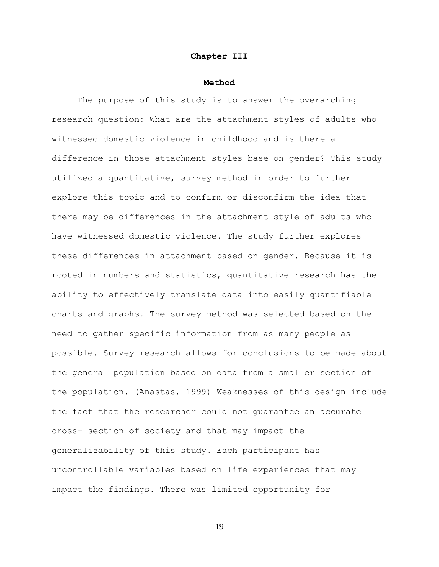#### **Chapter III**

#### **Method**

The purpose of this study is to answer the overarching research question: What are the attachment styles of adults who witnessed domestic violence in childhood and is there a difference in those attachment styles base on gender? This study utilized a quantitative, survey method in order to further explore this topic and to confirm or disconfirm the idea that there may be differences in the attachment style of adults who have witnessed domestic violence. The study further explores these differences in attachment based on gender. Because it is rooted in numbers and statistics, quantitative research has the ability to effectively translate data into easily quantifiable charts and graphs. The survey method was selected based on the need to gather specific information from as many people as possible. Survey research allows for conclusions to be made about the general population based on data from a smaller section of the population. (Anastas, 1999) Weaknesses of this design include the fact that the researcher could not guarantee an accurate cross- section of society and that may impact the generalizability of this study. Each participant has uncontrollable variables based on life experiences that may impact the findings. There was limited opportunity for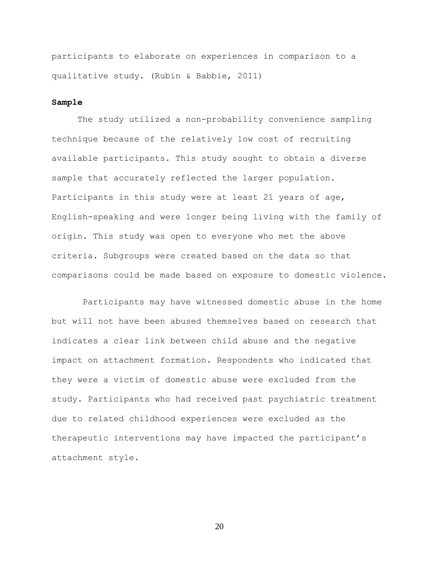participants to elaborate on experiences in comparison to a qualitative study. (Rubin & Babbie, 2011)

### **Sample**

The study utilized a non-probability convenience sampling technique because of the relatively low cost of recruiting available participants. This study sought to obtain a diverse sample that accurately reflected the larger population. Participants in this study were at least 21 years of age, English-speaking and were longer being living with the family of origin. This study was open to everyone who met the above criteria. Subgroups were created based on the data so that comparisons could be made based on exposure to domestic violence.

Participants may have witnessed domestic abuse in the home but will not have been abused themselves based on research that indicates a clear link between child abuse and the negative impact on attachment formation. Respondents who indicated that they were a victim of domestic abuse were excluded from the study. Participants who had received past psychiatric treatment due to related childhood experiences were excluded as the therapeutic interventions may have impacted the participant's attachment style.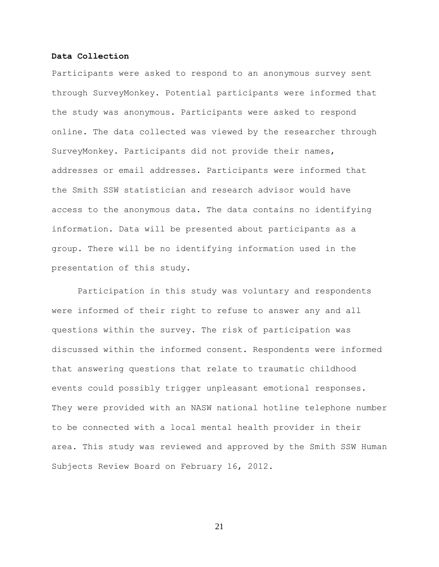#### **Data Collection**

Participants were asked to respond to an anonymous survey sent through SurveyMonkey. Potential participants were informed that the study was anonymous. Participants were asked to respond online. The data collected was viewed by the researcher through SurveyMonkey. Participants did not provide their names, addresses or email addresses. Participants were informed that the Smith SSW statistician and research advisor would have access to the anonymous data. The data contains no identifying information. Data will be presented about participants as a group. There will be no identifying information used in the presentation of this study.

Participation in this study was voluntary and respondents were informed of their right to refuse to answer any and all questions within the survey. The risk of participation was discussed within the informed consent. Respondents were informed that answering questions that relate to traumatic childhood events could possibly trigger unpleasant emotional responses. They were provided with an NASW national hotline telephone number to be connected with a local mental health provider in their area. This study was reviewed and approved by the Smith SSW Human Subjects Review Board on February 16, 2012.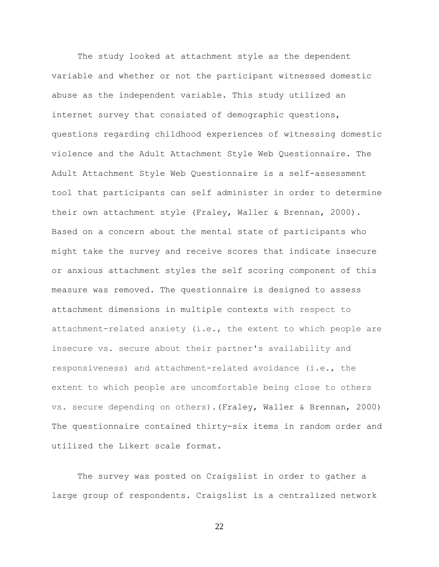The study looked at attachment style as the dependent variable and whether or not the participant witnessed domestic abuse as the independent variable. This study utilized an internet survey that consisted of demographic questions, questions regarding childhood experiences of witnessing domestic violence and the Adult Attachment Style Web Questionnaire. The Adult Attachment Style Web Questionnaire is a self-assessment tool that participants can self administer in order to determine their own attachment style (Fraley, Waller & Brennan, 2000). Based on a concern about the mental state of participants who might take the survey and receive scores that indicate insecure or anxious attachment styles the self scoring component of this measure was removed. The questionnaire is designed to assess attachment dimensions in multiple contexts with respect to attachment-related anxiety (i.e., the extent to which people are insecure vs. secure about their partner's availability and responsiveness) and attachment-related avoidance (i.e., the extent to which people are uncomfortable being close to others vs. secure depending on others).(Fraley, Waller & Brennan, 2000) The questionnaire contained thirty-six items in random order and utilized the Likert scale format.

The survey was posted on Craigslist in order to gather a large group of respondents. Craigslist is a centralized network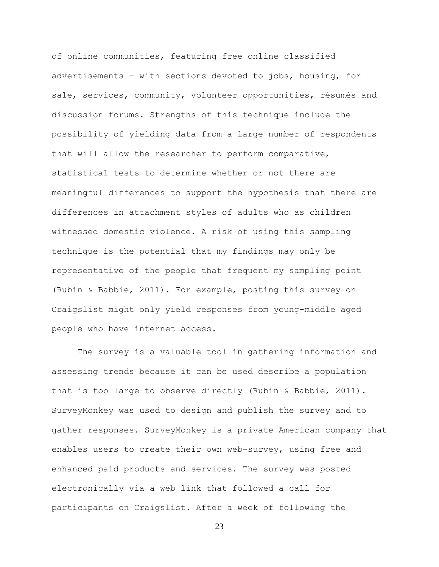of online communities, featuring free online [classified](http://en.wikipedia.org/wiki/Classified_advertising) [advertisements](http://en.wikipedia.org/wiki/Classified_advertising) – with sections devoted to jobs, housing, for sale, services, [community,](http://en.wikipedia.org/wiki/Community_service) volunteer opportunities, [résumés](http://en.wikipedia.org/wiki/R%C3%A9sum%C3%A9) and discussion forums. Strengths of this technique include the possibility of yielding data from a large number of respondents that will allow the researcher to perform comparative, statistical tests to determine whether or not there are meaningful differences to support the hypothesis that there are differences in attachment styles of adults who as children witnessed domestic violence. A risk of using this sampling technique is the potential that my findings may only be representative of the people that frequent my sampling point (Rubin & Babbie, 2011). For example, posting this survey on Craigslist might only yield responses from young-middle aged people who have internet access.

The survey is a valuable tool in gathering information and assessing trends because it can be used describe a population that is too large to observe directly (Rubin & Babbie, 2011). SurveyMonkey was used to design and publish the survey and to gather responses. SurveyMonkey is a private [American](http://en.wikipedia.org/wiki/United_States) company that enables users to create their own [web-survey,](http://en.wikipedia.org/w/index.php?title=Web-survey&action=edit&redlink=1) using free and enhanced paid products and services. The survey was posted electronically via a web link that followed a call for participants on Craigslist. After a week of following the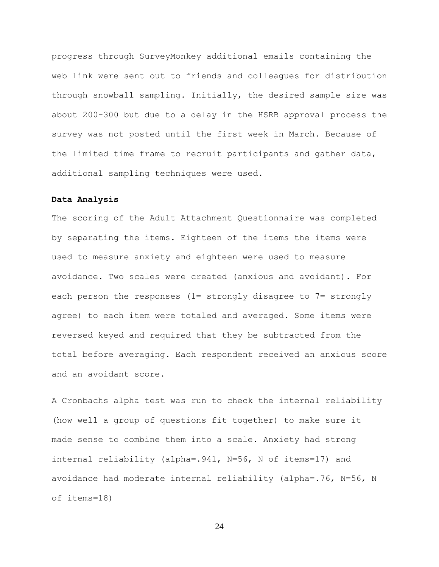progress through SurveyMonkey additional emails containing the web link were sent out to friends and colleagues for distribution through snowball sampling. Initially, the desired sample size was about 200-300 but due to a delay in the HSRB approval process the survey was not posted until the first week in March. Because of the limited time frame to recruit participants and gather data, additional sampling techniques were used.

#### **Data Analysis**

The scoring of the Adult Attachment Questionnaire was completed by separating the items. Eighteen of the items the items were used to measure anxiety and eighteen were used to measure avoidance. Two scales were created (anxious and avoidant). For each person the responses (1= strongly disagree to 7= strongly agree) to each item were totaled and averaged. Some items were reversed keyed and required that they be subtracted from the total before averaging. Each respondent received an anxious score and an avoidant score.

A Cronbachs alpha test was run to check the internal reliability (how well a group of questions fit together) to make sure it made sense to combine them into a scale. Anxiety had strong internal reliability (alpha=.941, N=56, N of items=17) and avoidance had moderate internal reliability (alpha=.76, N=56, N of items=18)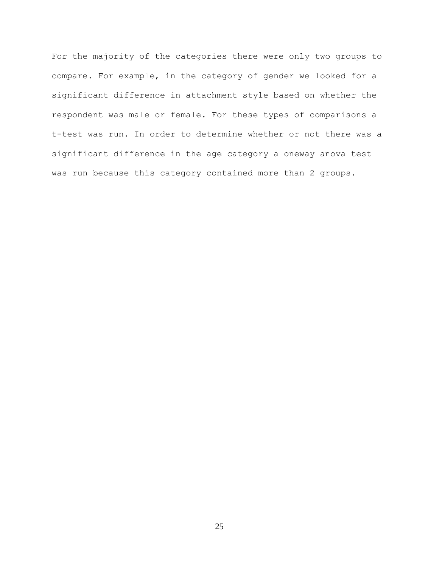For the majority of the categories there were only two groups to compare. For example, in the category of gender we looked for a significant difference in attachment style based on whether the respondent was male or female. For these types of comparisons a t-test was run. In order to determine whether or not there was a significant difference in the age category a oneway anova test was run because this category contained more than 2 groups.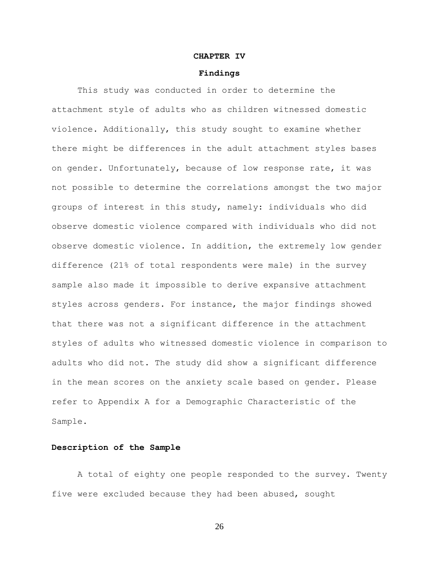#### **CHAPTER IV**

#### **Findings**

This study was conducted in order to determine the attachment style of adults who as children witnessed domestic violence. Additionally, this study sought to examine whether there might be differences in the adult attachment styles bases on gender. Unfortunately, because of low response rate, it was not possible to determine the correlations amongst the two major groups of interest in this study, namely: individuals who did observe domestic violence compared with individuals who did not observe domestic violence. In addition, the extremely low gender difference (21% of total respondents were male) in the survey sample also made it impossible to derive expansive attachment styles across genders. For instance, the major findings showed that there was not a significant difference in the attachment styles of adults who witnessed domestic violence in comparison to adults who did not. The study did show a significant difference in the mean scores on the anxiety scale based on gender. Please refer to Appendix A for a Demographic Characteristic of the Sample.

### **Description of the Sample**

A total of eighty one people responded to the survey. Twenty five were excluded because they had been abused, sought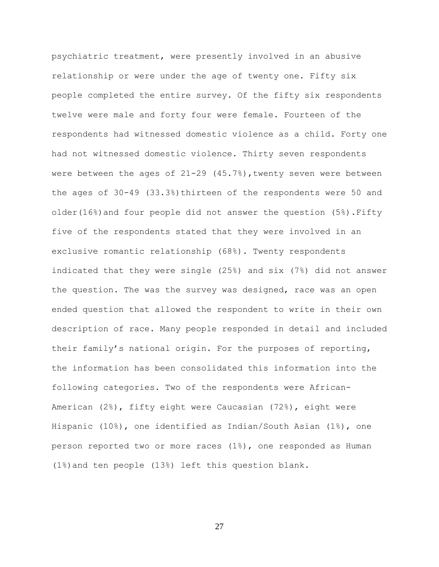psychiatric treatment, were presently involved in an abusive relationship or were under the age of twenty one. Fifty six people completed the entire survey. Of the fifty six respondents twelve were male and forty four were female. Fourteen of the respondents had witnessed domestic violence as a child. Forty one had not witnessed domestic violence. Thirty seven respondents were between the ages of 21-29 (45.7%),twenty seven were between the ages of 30-49 (33.3%)thirteen of the respondents were 50 and older(16%)and four people did not answer the question (5%).Fifty five of the respondents stated that they were involved in an exclusive romantic relationship (68%). Twenty respondents indicated that they were single (25%) and six (7%) did not answer the question. The was the survey was designed, race was an open ended question that allowed the respondent to write in their own description of race. Many people responded in detail and included their family's national origin. For the purposes of reporting, the information has been consolidated this information into the following categories. Two of the respondents were African-American (2%), fifty eight were Caucasian (72%), eight were Hispanic (10%), one identified as Indian/South Asian (1%), one person reported two or more races (1%), one responded as Human (1%)and ten people (13%) left this question blank.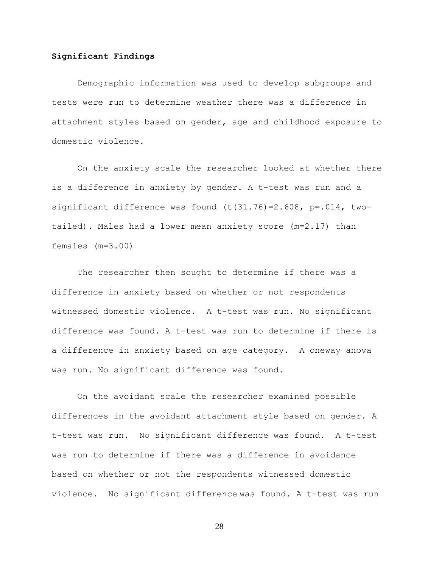#### **Significant Findings**

Demographic information was used to develop subgroups and tests were run to determine weather there was a difference in attachment styles based on gender, age and childhood exposure to domestic violence.

On the anxiety scale the researcher looked at whether there is a difference in anxiety by gender. A t-test was run and a significant difference was found  $(t(31.76)=2.608, p=.014, two$ tailed). Males had a lower mean anxiety score (m=2.17) than females (m=3.00)

The researcher then sought to determine if there was a difference in anxiety based on whether or not respondents witnessed domestic violence. A t-test was run. No significant difference was found. A t-test was run to determine if there is a difference in anxiety based on age category. A oneway anova was run. No significant difference was found.

On the avoidant scale the researcher examined possible differences in the avoidant attachment style based on gender. A t-test was run. No significant difference was found. A t-test was run to determine if there was a difference in avoidance based on whether or not the respondents witnessed domestic violence. No significant difference was found. A t-test was run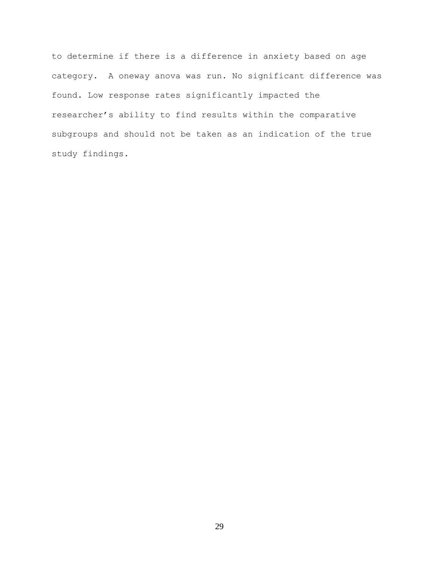to determine if there is a difference in anxiety based on age category. A oneway anova was run. No significant difference was found. Low response rates significantly impacted the researcher's ability to find results within the comparative subgroups and should not be taken as an indication of the true study findings.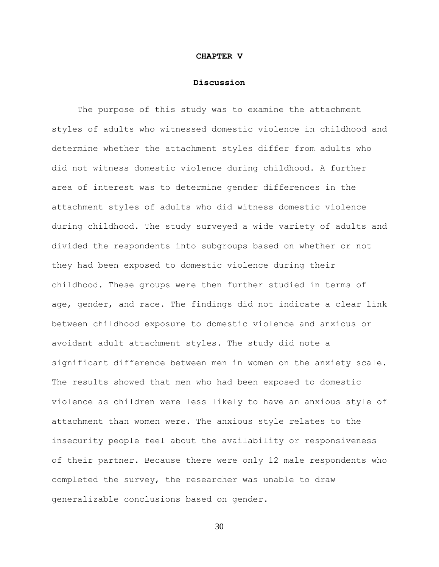### **CHAPTER V**

#### **Discussion**

The purpose of this study was to examine the attachment styles of adults who witnessed domestic violence in childhood and determine whether the attachment styles differ from adults who did not witness domestic violence during childhood. A further area of interest was to determine gender differences in the attachment styles of adults who did witness domestic violence during childhood. The study surveyed a wide variety of adults and divided the respondents into subgroups based on whether or not they had been exposed to domestic violence during their childhood. These groups were then further studied in terms of age, gender, and race. The findings did not indicate a clear link between childhood exposure to domestic violence and anxious or avoidant adult attachment styles. The study did note a significant difference between men in women on the anxiety scale. The results showed that men who had been exposed to domestic violence as children were less likely to have an anxious style of attachment than women were. The anxious style relates to the insecurity people feel about the availability or responsiveness of their partner. Because there were only 12 male respondents who completed the survey, the researcher was unable to draw generalizable conclusions based on gender.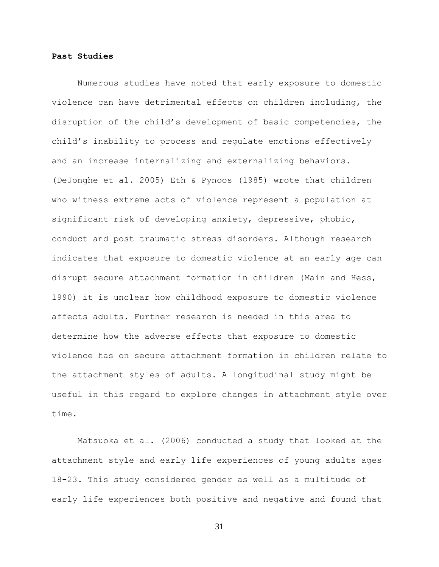#### **Past Studies**

Numerous studies have noted that early exposure to domestic violence can have detrimental effects on children including, the disruption of the child's development of basic competencies, the child's inability to process and regulate emotions effectively and an increase internalizing and externalizing behaviors. (DeJonghe et al. 2005) Eth & Pynoos (1985) wrote that children who witness extreme acts of violence represent a population at significant risk of developing anxiety, depressive, phobic, conduct and post traumatic stress disorders. Although research indicates that exposure to domestic violence at an early age can disrupt secure attachment formation in children (Main and Hess, 1990) it is unclear how childhood exposure to domestic violence affects adults. Further research is needed in this area to determine how the adverse effects that exposure to domestic violence has on secure attachment formation in children relate to the attachment styles of adults. A longitudinal study might be useful in this regard to explore changes in attachment style over time.

Matsuoka et al. (2006) conducted a study that looked at the attachment style and early life experiences of young adults ages 18-23. This study considered gender as well as a multitude of early life experiences both positive and negative and found that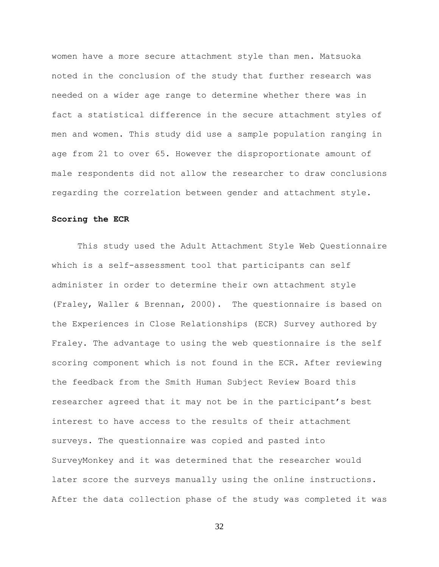women have a more secure attachment style than men. Matsuoka noted in the conclusion of the study that further research was needed on a wider age range to determine whether there was in fact a statistical difference in the secure attachment styles of men and women. This study did use a sample population ranging in age from 21 to over 65. However the disproportionate amount of male respondents did not allow the researcher to draw conclusions regarding the correlation between gender and attachment style.

#### **Scoring the ECR**

This study used the Adult Attachment Style Web Questionnaire which is a self-assessment tool that participants can self administer in order to determine their own attachment style (Fraley, Waller & Brennan, 2000). The questionnaire is based on the Experiences in Close Relationships (ECR) Survey authored by Fraley. The advantage to using the web questionnaire is the self scoring component which is not found in the ECR. After reviewing the feedback from the Smith Human Subject Review Board this researcher agreed that it may not be in the participant's best interest to have access to the results of their attachment surveys. The questionnaire was copied and pasted into SurveyMonkey and it was determined that the researcher would later score the surveys manually using the online instructions. After the data collection phase of the study was completed it was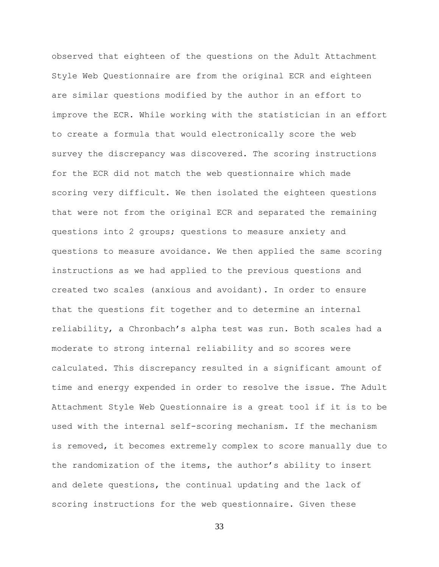observed that eighteen of the questions on the Adult Attachment Style Web Questionnaire are from the original ECR and eighteen are similar questions modified by the author in an effort to improve the ECR. While working with the statistician in an effort to create a formula that would electronically score the web survey the discrepancy was discovered. The scoring instructions for the ECR did not match the web questionnaire which made scoring very difficult. We then isolated the eighteen questions that were not from the original ECR and separated the remaining questions into 2 groups; questions to measure anxiety and questions to measure avoidance. We then applied the same scoring instructions as we had applied to the previous questions and created two scales (anxious and avoidant). In order to ensure that the questions fit together and to determine an internal reliability, a Chronbach's alpha test was run. Both scales had a moderate to strong internal reliability and so scores were calculated. This discrepancy resulted in a significant amount of time and energy expended in order to resolve the issue. The Adult Attachment Style Web Questionnaire is a great tool if it is to be used with the internal self-scoring mechanism. If the mechanism is removed, it becomes extremely complex to score manually due to the randomization of the items, the author's ability to insert and delete questions, the continual updating and the lack of scoring instructions for the web questionnaire. Given these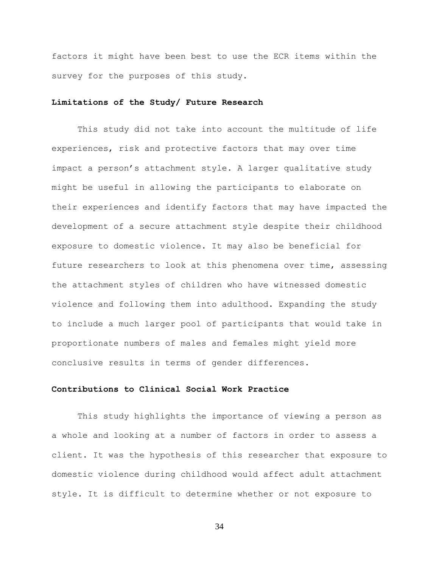factors it might have been best to use the ECR items within the survey for the purposes of this study.

### **Limitations of the Study/ Future Research**

This study did not take into account the multitude of life experiences, risk and protective factors that may over time impact a person's attachment style. A larger qualitative study might be useful in allowing the participants to elaborate on their experiences and identify factors that may have impacted the development of a secure attachment style despite their childhood exposure to domestic violence. It may also be beneficial for future researchers to look at this phenomena over time, assessing the attachment styles of children who have witnessed domestic violence and following them into adulthood. Expanding the study to include a much larger pool of participants that would take in proportionate numbers of males and females might yield more conclusive results in terms of gender differences.

### **Contributions to Clinical Social Work Practice**

This study highlights the importance of viewing a person as a whole and looking at a number of factors in order to assess a client. It was the hypothesis of this researcher that exposure to domestic violence during childhood would affect adult attachment style. It is difficult to determine whether or not exposure to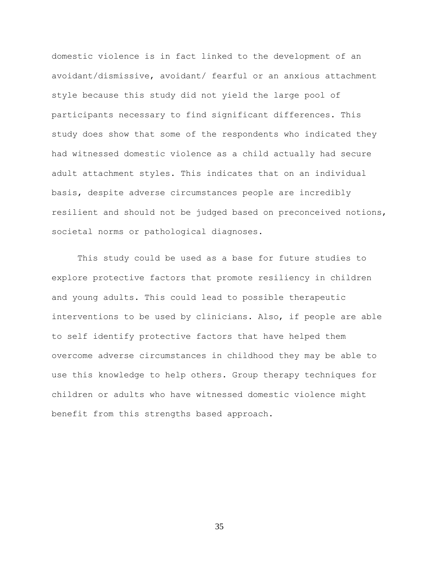domestic violence is in fact linked to the development of an avoidant/dismissive, avoidant/ fearful or an anxious attachment style because this study did not yield the large pool of participants necessary to find significant differences. This study does show that some of the respondents who indicated they had witnessed domestic violence as a child actually had secure adult attachment styles. This indicates that on an individual basis, despite adverse circumstances people are incredibly resilient and should not be judged based on preconceived notions, societal norms or pathological diagnoses.

This study could be used as a base for future studies to explore protective factors that promote resiliency in children and young adults. This could lead to possible therapeutic interventions to be used by clinicians. Also, if people are able to self identify protective factors that have helped them overcome adverse circumstances in childhood they may be able to use this knowledge to help others. Group therapy techniques for children or adults who have witnessed domestic violence might benefit from this strengths based approach.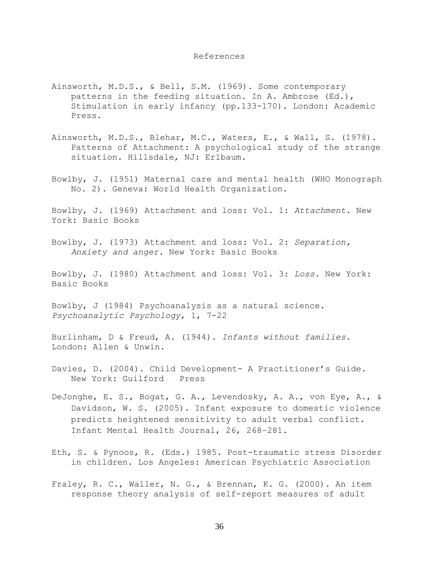#### References

- Ainsworth, M.D.S., & Bell, S.M. (1969). Some contemporary patterns in the feeding situation. In A. Ambrose (Ed.), Stimulation in early infancy (pp.133-170). London: Academic Press.
- Ainsworth, M.D.S., Blehar, M.C., Waters, E., & Wall, S. (1978). Patterns of Attachment: A psychological study of the strange situation. Hillsdale, NJ: Erlbaum.
- Bowlby, J. (1951) Maternal care and mental health (WHO Monograph No. 2). Geneva: World Health Organization.

Bowlby, J. (1969) Attachment and loss: Vol. 1: *Attachment.* New York: Basic Books

Bowlby, J. (1973) Attachment and loss: Vol. 2: *Separation, Anxiety and anger*. New York: Basic Books

Bowlby, J. (1980) Attachment and loss: Vol. 3: *Loss*. New York: Basic Books

Bowlby, J (1984) Psychoanalysis as a natural science. *Psychoanalytic Psychology*, 1, 7-22

Burlinham, D & Freud, A. (1944). *Infants without families*. London: Allen & Unwin.

Davies, D. (2004). Child Development- A Practitioner's Guide. New York: Guilford Press

- DeJonghe, E. S., Bogat, G. A., Levendosky, A. A., von Eye, A., & Davidson, W. S. (2005). Infant exposure to domestic violence predicts heightened sensitivity to adult verbal conflict. Infant Mental Health Journal, 26, 268–281.
- Eth, S. & Pynoos, R. (Eds.) 1985. Post-traumatic stress Disorder in children. Los Angeles: American Psychiatric Association

Fraley, R. C., Waller, N. G., & Brennan, K. G. (2000). An item response theory analysis of self-report measures of adult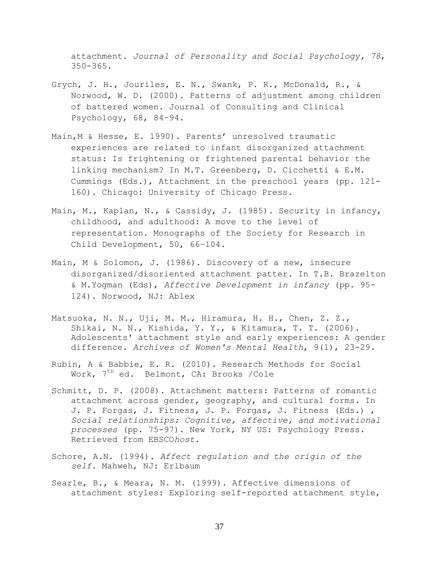attachment. *Journal of Personality and Social Psychology, 78*, 350-365.

- Grych, J. H., Jouriles, E. N., Swank, P. R., McDonald, R., & Norwood, W. D. (2000). Patterns of adjustment among children of battered women. Journal of Consulting and Clinical Psychology, 68, 84–94.
- Main,M & Hesse, E. 1990). Parents' unresolved traumatic experiences are related to infant disorganized attachment status: Is frightening or frightened parental behavior the linking mechanism? In M.T. Greenberg, D. Cicchetti & E.M. Cummings (Eds.), Attachment in the preschool years (pp. 121- 160). Chicago: University of Chicago Press.
- Main, M., Kaplan, N., & Cassidy, J. (1985). Security in infancy, childhood, and adulthood: A move to the level of representation. Monographs of the Society for Research in Child Development, 50, 66–104.
- Main, M & Solomon, J. (1986). Discovery of a new, insecure disorganized/disoriented attachment patter. In T.B. Brazelton & M.Yogman (Eds), *Affective Development in infancy* (pp. 95- 124). Norwood, NJ: Ablex
- Matsuoka, N. N., Uji, M. M., Hiramura, H. H., Chen, Z. Z., Shikai, N. N., Kishida, Y. Y., & Kitamura, T. T. (2006). Adolescents' attachment style and early experiences: A gender difference. *Archives of Women's Mental Health*, 9(1), 23-29.
- Rubin, A & Babbie, E. R. (2010). Research Methods for Social Work,  $7<sup>th</sup>$  ed. Belmont, CA: Brooks /Cole
- Schmitt, D. P. (2008). Attachment matters: Patterns of romantic attachment across gender, geography, and cultural forms. In J. P. Forgas, J. Fitness, J. P. Forgas, J. Fitness (Eds.) , *Social relationships: Cognitive, affective, and motivational processes* (pp. 75-97). New York, NY US: Psychology Press. Retrieved from EBSCO*host*.
- Schore, A.N. (1994). *Affect regulation and the origin of the self*. Mahweh, NJ: Erlbaum
- Searle, B., & Meara, N. M. (1999). Affective dimensions of attachment styles: Exploring self-reported attachment style,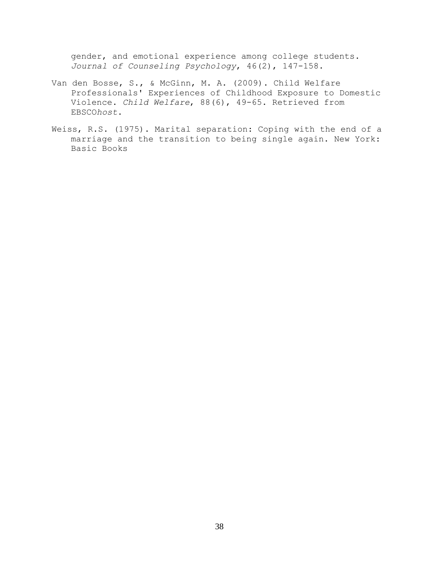gender, and emotional experience among college students. *Journal of Counseling Psychology*, 46(2), 147-158.

- Van den Bosse, S., & McGinn, M. A. (2009). Child Welfare Professionals' Experiences of Childhood Exposure to Domestic Violence. *Child Welfare*, 88(6), 49-65. Retrieved from EBSCO*host*.
- Weiss, R.S. (1975). Marital separation: Coping with the end of a marriage and the transition to being single again. New York: Basic Books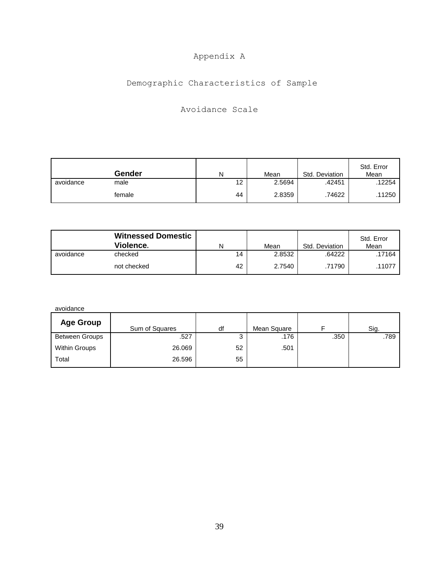## Appendix A

## Demographic Characteristics of Sample

## Avoidance Scale

|           | Gender | N  | Mean   | Std. Deviation | Std. Error<br>Mean |
|-----------|--------|----|--------|----------------|--------------------|
| avoidance | male   | 12 | 2.5694 | .42451         | 12254              |
|           | female | 44 | 2.8359 | .74622         | .11250             |

|           | <b>Witnessed Domestic</b><br>Violence. | N  | Mean   | Std. Deviation | Std. Error<br>Mean |
|-----------|----------------------------------------|----|--------|----------------|--------------------|
| avoidance | checked                                | 14 | 2.8532 | .64222         | .17164             |
|           | not checked                            | 42 | 2.7540 | .71790         | 11077              |

| Sum of Squares | df     | Mean Square |      | Sig. |
|----------------|--------|-------------|------|------|
| .527           | ◠<br>ت | .176        | .350 | .789 |
| 26.069         | 52     | .501        |      |      |
| 26.596         | 55     |             |      |      |
|                |        |             |      |      |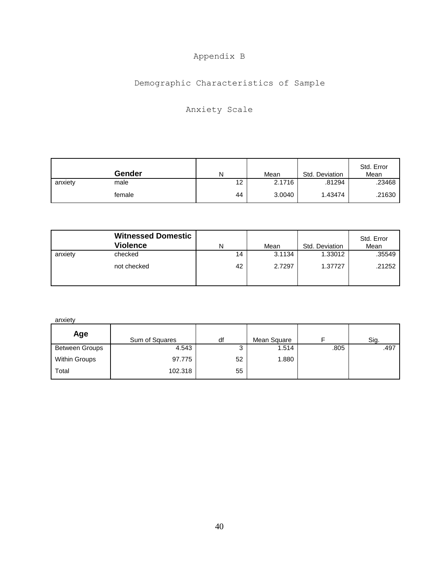## Appendix B

## Demographic Characteristics of Sample

## Anxiety Scale

|         | Gender | N  | Mean   | Std. Deviation | Std. Error<br>Mean |
|---------|--------|----|--------|----------------|--------------------|
| anxiety | male   | 12 | 2.1716 | .81294         | .23468             |
|         | female | 44 | 3.0040 | 1.43474        | .21630             |

|         | <b>Witnessed Domestic</b><br><b>Violence</b> | N  | Mean   | Std. Deviation | Std. Error<br>Mean |
|---------|----------------------------------------------|----|--------|----------------|--------------------|
| anxiety | checked                                      | 14 | 3.1134 | 1.33012        | .35549             |
|         | not checked                                  | 42 | 2.7297 | 1.37727        | .21252             |

anxiety

| Age                   | Sum of Squares | df     | Mean Square |      | Sig. |
|-----------------------|----------------|--------|-------------|------|------|
| <b>Between Groups</b> | 4.543          | ◠<br>J | 1.514       | .805 | .497 |
| <b>Within Groups</b>  | 97.775         | 52     | 1.880       |      |      |
| Total                 | 102.318        | 55     |             |      |      |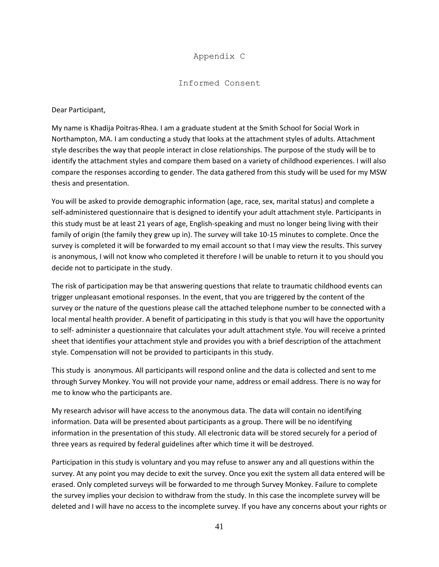## Appendix C

## Informed Consent

Dear Participant,

My name is Khadija Poitras-Rhea. I am a graduate student at the Smith School for Social Work in Northampton, MA. I am conducting a study that looks at the attachment styles of adults. Attachment style describes the way that people interact in close relationships. The purpose of the study will be to identify the attachment styles and compare them based on a variety of childhood experiences. I will also compare the responses according to gender. The data gathered from this study will be used for my MSW thesis and presentation.

You will be asked to provide demographic information (age, race, sex, marital status) and complete a self-administered questionnaire that is designed to identify your adult attachment style. Participants in this study must be at least 21 years of age, English-speaking and must no longer being living with their family of origin (the family they grew up in). The survey will take 10-15 minutes to complete. Once the survey is completed it will be forwarded to my email account so that I may view the results. This survey is anonymous, I will not know who completed it therefore I will be unable to return it to you should you decide not to participate in the study.

The risk of participation may be that answering questions that relate to traumatic childhood events can trigger unpleasant emotional responses. In the event, that you are triggered by the content of the survey or the nature of the questions please call the attached telephone number to be connected with a local mental health provider. A benefit of participating in this study is that you will have the opportunity to self- administer a questionnaire that calculates your adult attachment style. You will receive a printed sheet that identifies your attachment style and provides you with a brief description of the attachment style. Compensation will not be provided to participants in this study.

This study is anonymous. All participants will respond online and the data is collected and sent to me through Survey Monkey. You will not provide your name, address or email address. There is no way for me to know who the participants are.

My research advisor will have access to the anonymous data. The data will contain no identifying information. Data will be presented about participants as a group. There will be no identifying information in the presentation of this study. All electronic data will be stored securely for a period of three years as required by federal guidelines after which time it will be destroyed.

Participation in this study is voluntary and you may refuse to answer any and all questions within the survey. At any point you may decide to exit the survey. Once you exit the system all data entered will be erased. Only completed surveys will be forwarded to me through Survey Monkey. Failure to complete the survey implies your decision to withdraw from the study. In this case the incomplete survey will be deleted and I will have no access to the incomplete survey. If you have any concerns about your rights or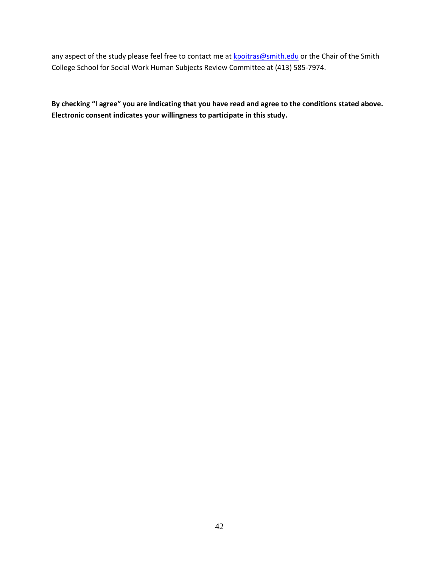any aspect of the study please feel free to contact me a[t kpoitras@smith.edu](mailto:kpoitras@smith.edu) or the Chair of the Smith College School for Social Work Human Subjects Review Committee at (413) 585-7974.

**By checking "I agree" you are indicating that you have read and agree to the conditions stated above. Electronic consent indicates your willingness to participate in this study.**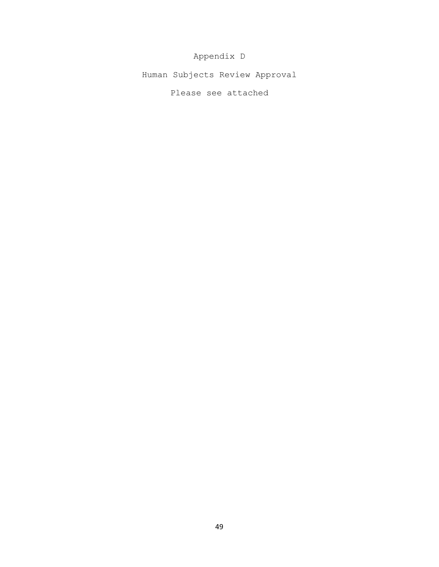Appendix D

Human Subjects Review Approval

Please see attached